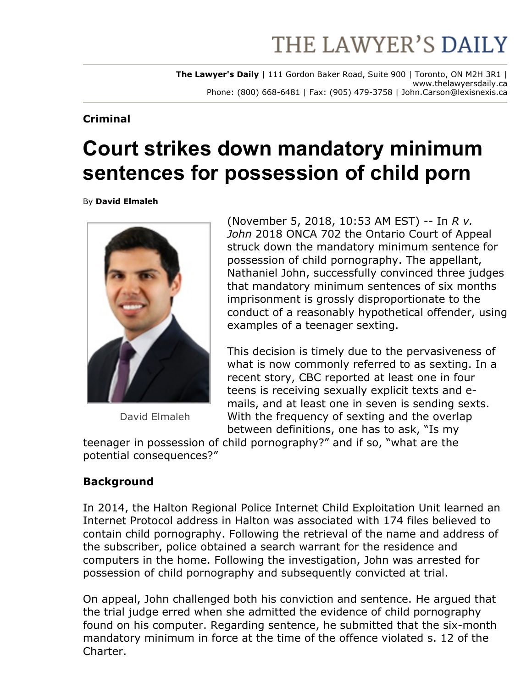# THE LAWYER'S DAILY

**The Lawyer's Daily** | 111 Gordon Baker Road, Suite 900 | Toronto, ON M2H 3R1 | www.thelawyersdaily.ca Phone: (800) 668-6481 | Fax: (905) 479-3758 | John.Carson@lexisnexis.ca

#### **Criminal**

# **Court strikes down mandatory minimum sentences for possession of child porn**

By **David Elmaleh**



David Elmaleh

(November 5, 2018, 10:53 AM EST) -- In *R v*. *John* 2018 ONCA 702 the Ontario Court of Appeal struck down the mandatory minimum sentence for possession of child pornography. The appellant, Nathaniel John, successfully convinced three judges that mandatory minimum sentences of six months imprisonment is grossly disproportionate to the conduct of a reasonably hypothetical offender, using examples of a teenager sexting.

This decision is timely due to the pervasiveness of what is now commonly referred to as sexting. In a recent story, CBC reported at least one in four teens is receiving sexually explicit texts and emails, and at least one in seven is sending sexts. With the frequency of sexting and the overlap between definitions, one has to ask, "Is my

teenager in possession of child pornography?" and if so, "what are the potential consequences?"

## **Background**

In 2014, the Halton Regional Police Internet Child Exploitation Unit learned an Internet Protocol address in Halton was associated with 174 files believed to contain child pornography. Following the retrieval of the name and address of the subscriber, police obtained a search warrant for the residence and computers in the home. Following the investigation, John was arrested for possession of child pornography and subsequently convicted at trial.

On appeal, John challenged both his conviction and sentence. He argued that the trial judge erred when she admitted the evidence of child pornography found on his computer. Regarding sentence, he submitted that the six-month mandatory minimum in force at the time of the offence violated s. 12 of the Charter.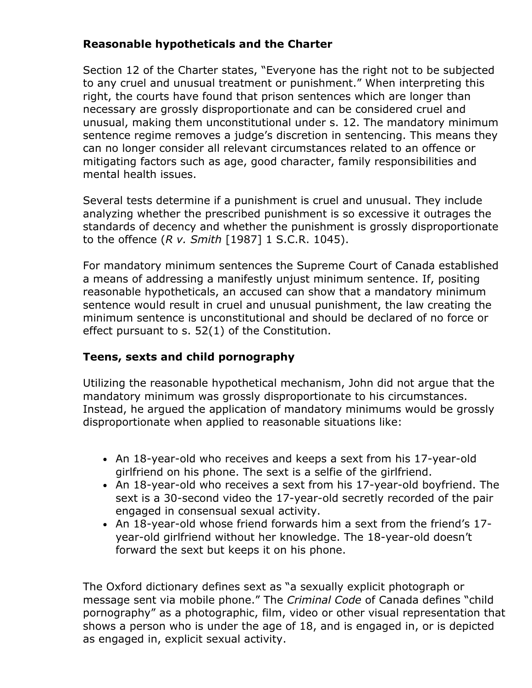## **Reasonable hypotheticals and the Charter**

Section 12 of the Charter states, "Everyone has the right not to be subjected to any cruel and unusual treatment or punishment." When interpreting this right, the courts have found that prison sentences which are longer than necessary are grossly disproportionate and can be considered cruel and unusual, making them unconstitutional under s. 12. The mandatory minimum sentence regime removes a judge's discretion in sentencing. This means they can no longer consider all relevant circumstances related to an offence or mitigating factors such as age, good character, family responsibilities and mental health issues.

Several tests determine if a punishment is cruel and unusual. They include analyzing whether the prescribed punishment is so excessive it outrages the standards of decency and whether the punishment is grossly disproportionate to the offence (*R v. Smith* [1987] 1 S.C.R. 1045).

For mandatory minimum sentences the Supreme Court of Canada established a means of addressing a manifestly unjust minimum sentence. If, positing reasonable hypotheticals, an accused can show that a mandatory minimum sentence would result in cruel and unusual punishment, the law creating the minimum sentence is unconstitutional and should be declared of no force or effect pursuant to s. 52(1) of the Constitution.

#### **Teens, sexts and child pornography**

Utilizing the reasonable hypothetical mechanism, John did not argue that the mandatory minimum was grossly disproportionate to his circumstances. Instead, he argued the application of mandatory minimums would be grossly disproportionate when applied to reasonable situations like:

- An 18-year-old who receives and keeps a sext from his 17-year-old girlfriend on his phone. The sext is a selfie of the girlfriend.
- An 18-year-old who receives a sext from his 17-year-old boyfriend. The sext is a 30-second video the 17-year-old secretly recorded of the pair engaged in consensual sexual activity.
- An 18-year-old whose friend forwards him a sext from the friend's 17year-old girlfriend without her knowledge. The 18-year-old doesn't forward the sext but keeps it on his phone.

The Oxford dictionary defines sext as "a sexually explicit photograph or message sent via mobile phone." The *Criminal Code* of Canada defines "child pornography" as a photographic, film, video or other visual representation that shows a person who is under the age of 18, and is engaged in, or is depicted as engaged in, explicit sexual activity.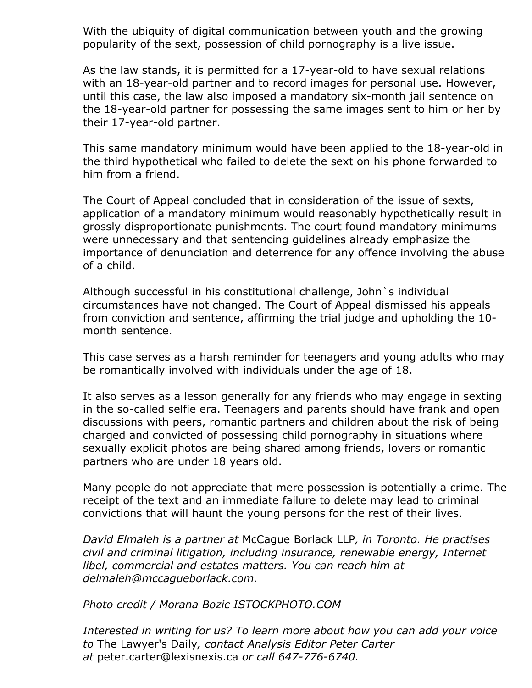With the ubiquity of digital communication between youth and the growing popularity of the sext, possession of child pornography is a live issue.

As the law stands, it is permitted for a 17-year-old to have sexual relations with an 18-year-old partner and to record images for personal use. However, until this case, the law also imposed a mandatory six-month jail sentence on the 18-year-old partner for possessing the same images sent to him or her by their 17-year-old partner.

This same mandatory minimum would have been applied to the 18-year-old in the third hypothetical who failed to delete the sext on his phone forwarded to him from a friend.

The Court of Appeal concluded that in consideration of the issue of sexts, application of a mandatory minimum would reasonably hypothetically result in grossly disproportionate punishments. The court found mandatory minimums were unnecessary and that sentencing guidelines already emphasize the importance of denunciation and deterrence for any offence involving the abuse of a child.

Although successful in his constitutional challenge, John`s individual circumstances have not changed. The Court of Appeal dismissed his appeals from conviction and sentence, affirming the trial judge and upholding the 10 month sentence.

This case serves as a harsh reminder for teenagers and young adults who may be romantically involved with individuals under the age of 18.

It also serves as a lesson generally for any friends who may engage in sexting in the so-called selfie era. Teenagers and parents should have frank and open discussions with peers, romantic partners and children about the risk of being charged and convicted of possessing child pornography in situations where sexually explicit photos are being shared among friends, lovers or romantic partners who are under 18 years old.

Many people do not appreciate that mere possession is potentially a crime. The receipt of the text and an immediate failure to delete may lead to criminal convictions that will haunt the young persons for the rest of their lives.

*David Elmaleh is a partner at* [McCague Borlack LLP](http://mccagueborlack.com/)*, in Toronto. He practises civil and criminal litigation, including insurance, renewable energy, Internet libel, commercial and estates matters. You can reach him at [delmaleh@mccagueborlack.com.](mailto:delmaleh@mccagueborlack.com)*

*Photo credit / Morana Bozic ISTOCKPHOTO.COM*

*Interested in writing for us? To learn more about how you can add your voice to* The Lawyer's Daily*, contact Analysis Editor Peter Carter* at [peter.carter@lexisnexis.ca](mailto:peter.carter@lexisnexis.ca) or call 647-776-6740.